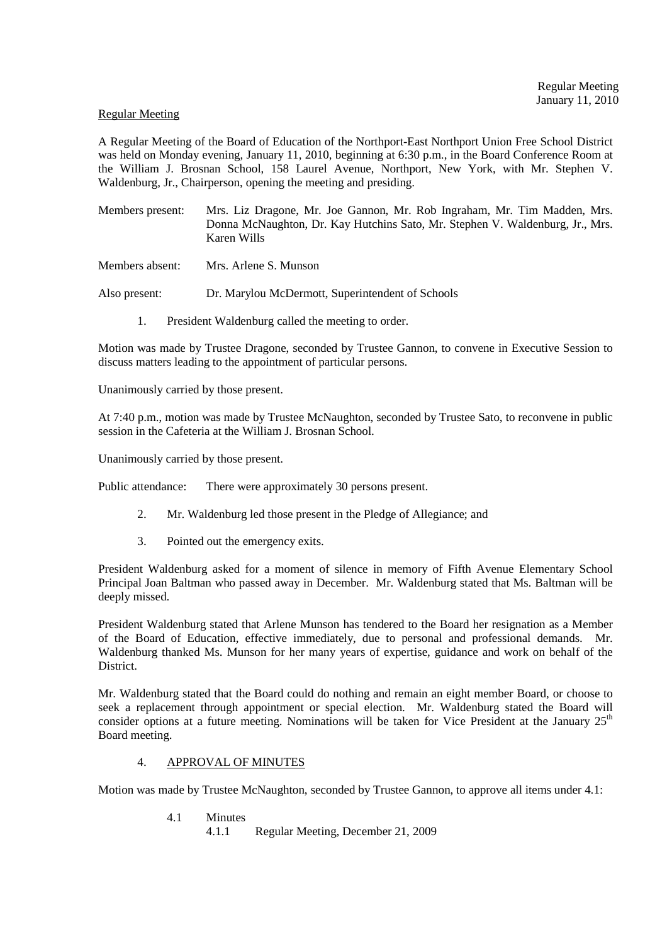#### Regular Meeting

A Regular Meeting of the Board of Education of the Northport-East Northport Union Free School District was held on Monday evening, January 11, 2010, beginning at 6:30 p.m., in the Board Conference Room at the William J. Brosnan School, 158 Laurel Avenue, Northport, New York, with Mr. Stephen V. Waldenburg, Jr., Chairperson, opening the meeting and presiding.

Members present: Mrs. Liz Dragone, Mr. Joe Gannon, Mr. Rob Ingraham, Mr. Tim Madden, Mrs. Donna McNaughton, Dr. Kay Hutchins Sato, Mr. Stephen V. Waldenburg, Jr., Mrs. Karen Wills

Members absent: Mrs. Arlene S. Munson

Also present: Dr. Marylou McDermott, Superintendent of Schools

1. President Waldenburg called the meeting to order.

Motion was made by Trustee Dragone, seconded by Trustee Gannon, to convene in Executive Session to discuss matters leading to the appointment of particular persons.

Unanimously carried by those present.

At 7:40 p.m., motion was made by Trustee McNaughton, seconded by Trustee Sato, to reconvene in public session in the Cafeteria at the William J. Brosnan School.

Unanimously carried by those present.

Public attendance: There were approximately 30 persons present.

- 2. Mr. Waldenburg led those present in the Pledge of Allegiance; and
- 3. Pointed out the emergency exits.

President Waldenburg asked for a moment of silence in memory of Fifth Avenue Elementary School Principal Joan Baltman who passed away in December. Mr. Waldenburg stated that Ms. Baltman will be deeply missed.

President Waldenburg stated that Arlene Munson has tendered to the Board her resignation as a Member of the Board of Education, effective immediately, due to personal and professional demands. Mr. Waldenburg thanked Ms. Munson for her many years of expertise, guidance and work on behalf of the District.

Mr. Waldenburg stated that the Board could do nothing and remain an eight member Board, or choose to seek a replacement through appointment or special election. Mr. Waldenburg stated the Board will consider options at a future meeting. Nominations will be taken for Vice President at the January  $25<sup>th</sup>$ Board meeting.

### 4. APPROVAL OF MINUTES

Motion was made by Trustee McNaughton, seconded by Trustee Gannon, to approve all items under 4.1:

4.1 Minutes

4.1.1 Regular Meeting, December 21, 2009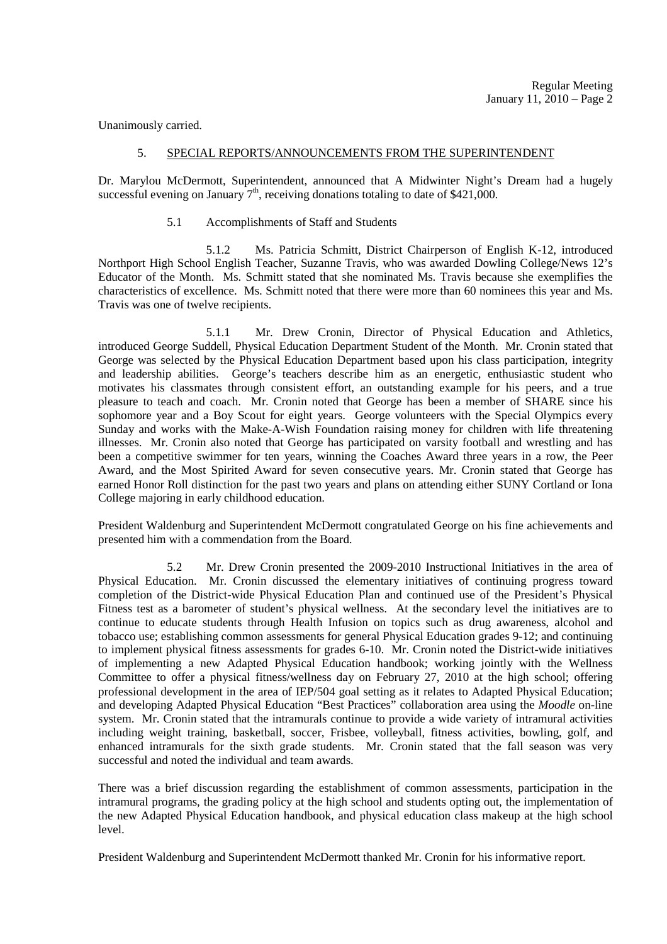Unanimously carried.

#### 5. SPECIAL REPORTS/ANNOUNCEMENTS FROM THE SUPERINTENDENT

Dr. Marylou McDermott, Superintendent, announced that A Midwinter Night's Dream had a hugely successful evening on January  $7<sup>th</sup>$ , receiving donations totaling to date of \$421,000.

5.1 Accomplishments of Staff and Students

 5.1.2 Ms. Patricia Schmitt, District Chairperson of English K-12, introduced Northport High School English Teacher, Suzanne Travis, who was awarded Dowling College/News 12's Educator of the Month. Ms. Schmitt stated that she nominated Ms. Travis because she exemplifies the characteristics of excellence. Ms. Schmitt noted that there were more than 60 nominees this year and Ms. Travis was one of twelve recipients.

 5.1.1 Mr. Drew Cronin, Director of Physical Education and Athletics, introduced George Suddell, Physical Education Department Student of the Month. Mr. Cronin stated that George was selected by the Physical Education Department based upon his class participation, integrity and leadership abilities. George's teachers describe him as an energetic, enthusiastic student who motivates his classmates through consistent effort, an outstanding example for his peers, and a true pleasure to teach and coach. Mr. Cronin noted that George has been a member of SHARE since his sophomore year and a Boy Scout for eight years. George volunteers with the Special Olympics every Sunday and works with the Make-A-Wish Foundation raising money for children with life threatening illnesses. Mr. Cronin also noted that George has participated on varsity football and wrestling and has been a competitive swimmer for ten years, winning the Coaches Award three years in a row, the Peer Award, and the Most Spirited Award for seven consecutive years. Mr. Cronin stated that George has earned Honor Roll distinction for the past two years and plans on attending either SUNY Cortland or Iona College majoring in early childhood education.

President Waldenburg and Superintendent McDermott congratulated George on his fine achievements and presented him with a commendation from the Board.

 5.2 Mr. Drew Cronin presented the 2009-2010 Instructional Initiatives in the area of Physical Education. Mr. Cronin discussed the elementary initiatives of continuing progress toward completion of the District-wide Physical Education Plan and continued use of the President's Physical Fitness test as a barometer of student's physical wellness. At the secondary level the initiatives are to continue to educate students through Health Infusion on topics such as drug awareness, alcohol and tobacco use; establishing common assessments for general Physical Education grades 9-12; and continuing to implement physical fitness assessments for grades 6-10. Mr. Cronin noted the District-wide initiatives of implementing a new Adapted Physical Education handbook; working jointly with the Wellness Committee to offer a physical fitness/wellness day on February 27, 2010 at the high school; offering professional development in the area of IEP/504 goal setting as it relates to Adapted Physical Education; and developing Adapted Physical Education "Best Practices" collaboration area using the *Moodle* on-line system. Mr. Cronin stated that the intramurals continue to provide a wide variety of intramural activities including weight training, basketball, soccer, Frisbee, volleyball, fitness activities, bowling, golf, and enhanced intramurals for the sixth grade students. Mr. Cronin stated that the fall season was very successful and noted the individual and team awards.

There was a brief discussion regarding the establishment of common assessments, participation in the intramural programs, the grading policy at the high school and students opting out, the implementation of the new Adapted Physical Education handbook, and physical education class makeup at the high school level.

President Waldenburg and Superintendent McDermott thanked Mr. Cronin for his informative report.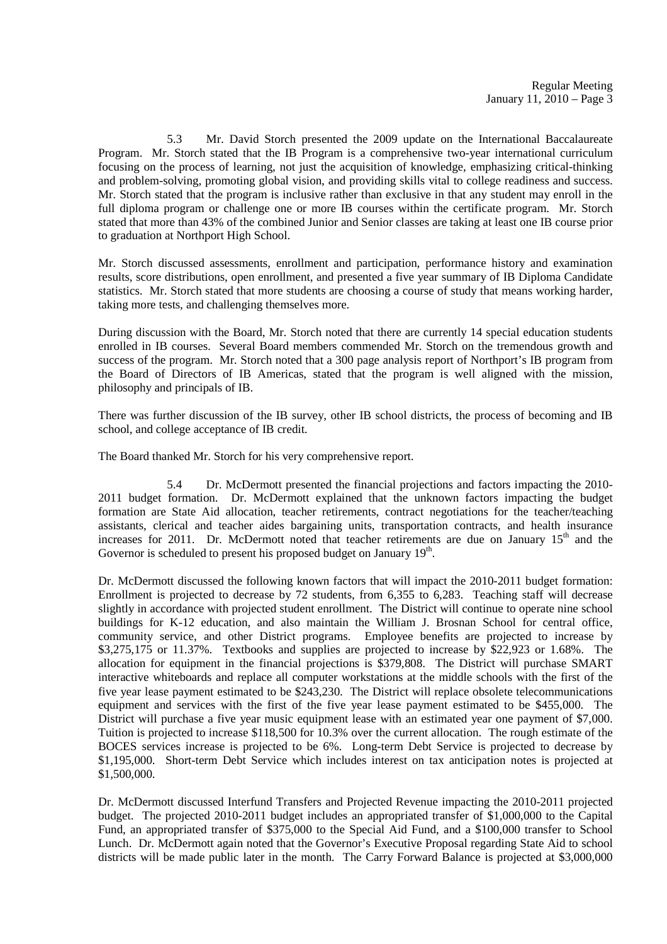5.3 Mr. David Storch presented the 2009 update on the International Baccalaureate Program. Mr. Storch stated that the IB Program is a comprehensive two-year international curriculum focusing on the process of learning, not just the acquisition of knowledge, emphasizing critical-thinking and problem-solving, promoting global vision, and providing skills vital to college readiness and success. Mr. Storch stated that the program is inclusive rather than exclusive in that any student may enroll in the full diploma program or challenge one or more IB courses within the certificate program. Mr. Storch stated that more than 43% of the combined Junior and Senior classes are taking at least one IB course prior to graduation at Northport High School.

Mr. Storch discussed assessments, enrollment and participation, performance history and examination results, score distributions, open enrollment, and presented a five year summary of IB Diploma Candidate statistics. Mr. Storch stated that more students are choosing a course of study that means working harder, taking more tests, and challenging themselves more.

During discussion with the Board, Mr. Storch noted that there are currently 14 special education students enrolled in IB courses. Several Board members commended Mr. Storch on the tremendous growth and success of the program. Mr. Storch noted that a 300 page analysis report of Northport's IB program from the Board of Directors of IB Americas, stated that the program is well aligned with the mission, philosophy and principals of IB.

There was further discussion of the IB survey, other IB school districts, the process of becoming and IB school, and college acceptance of IB credit.

The Board thanked Mr. Storch for his very comprehensive report.

 5.4 Dr. McDermott presented the financial projections and factors impacting the 2010- 2011 budget formation. Dr. McDermott explained that the unknown factors impacting the budget formation are State Aid allocation, teacher retirements, contract negotiations for the teacher/teaching assistants, clerical and teacher aides bargaining units, transportation contracts, and health insurance increases for 2011. Dr. McDermott noted that teacher retirements are due on January  $15<sup>th</sup>$  and the Governor is scheduled to present his proposed budget on January 19<sup>th</sup>.

Dr. McDermott discussed the following known factors that will impact the 2010-2011 budget formation: Enrollment is projected to decrease by 72 students, from 6,355 to 6,283. Teaching staff will decrease slightly in accordance with projected student enrollment. The District will continue to operate nine school buildings for K-12 education, and also maintain the William J. Brosnan School for central office, community service, and other District programs. Employee benefits are projected to increase by \$3,275,175 or 11.37%. Textbooks and supplies are projected to increase by \$22,923 or 1.68%. The allocation for equipment in the financial projections is \$379,808. The District will purchase SMART interactive whiteboards and replace all computer workstations at the middle schools with the first of the five year lease payment estimated to be \$243,230. The District will replace obsolete telecommunications equipment and services with the first of the five year lease payment estimated to be \$455,000. The District will purchase a five year music equipment lease with an estimated year one payment of \$7,000. Tuition is projected to increase \$118,500 for 10.3% over the current allocation. The rough estimate of the BOCES services increase is projected to be 6%. Long-term Debt Service is projected to decrease by \$1,195,000. Short-term Debt Service which includes interest on tax anticipation notes is projected at \$1,500,000.

Dr. McDermott discussed Interfund Transfers and Projected Revenue impacting the 2010-2011 projected budget. The projected 2010-2011 budget includes an appropriated transfer of \$1,000,000 to the Capital Fund, an appropriated transfer of \$375,000 to the Special Aid Fund, and a \$100,000 transfer to School Lunch. Dr. McDermott again noted that the Governor's Executive Proposal regarding State Aid to school districts will be made public later in the month. The Carry Forward Balance is projected at \$3,000,000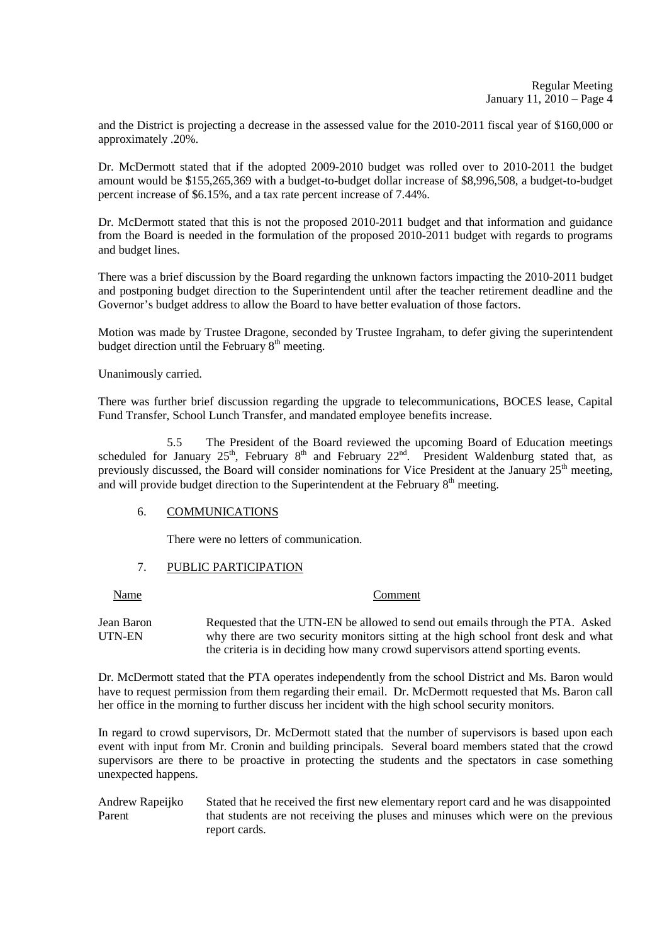and the District is projecting a decrease in the assessed value for the 2010-2011 fiscal year of \$160,000 or approximately .20%.

Dr. McDermott stated that if the adopted 2009-2010 budget was rolled over to 2010-2011 the budget amount would be \$155,265,369 with a budget-to-budget dollar increase of \$8,996,508, a budget-to-budget percent increase of \$6.15%, and a tax rate percent increase of 7.44%.

Dr. McDermott stated that this is not the proposed 2010-2011 budget and that information and guidance from the Board is needed in the formulation of the proposed 2010-2011 budget with regards to programs and budget lines.

There was a brief discussion by the Board regarding the unknown factors impacting the 2010-2011 budget and postponing budget direction to the Superintendent until after the teacher retirement deadline and the Governor's budget address to allow the Board to have better evaluation of those factors.

Motion was made by Trustee Dragone, seconded by Trustee Ingraham, to defer giving the superintendent budget direction until the February  $8<sup>th</sup>$  meeting.

Unanimously carried.

There was further brief discussion regarding the upgrade to telecommunications, BOCES lease, Capital Fund Transfer, School Lunch Transfer, and mandated employee benefits increase.

 5.5 The President of the Board reviewed the upcoming Board of Education meetings scheduled for January 25<sup>th</sup>, February 8<sup>th</sup> and February 22<sup>nd</sup>. President Waldenburg stated that, as previously discussed, the Board will consider nominations for Vice President at the January 25<sup>th</sup> meeting, and will provide budget direction to the Superintendent at the February  $8<sup>th</sup>$  meeting.

# 6. COMMUNICATIONS

There were no letters of communication.

# 7. PUBLIC PARTICIPATION

Name Comment

Jean Baron Requested that the UTN-EN be allowed to send out emails through the PTA. Asked UTN-EN why there are two security monitors sitting at the high school front desk and what the criteria is in deciding how many crowd supervisors attend sporting events.

Dr. McDermott stated that the PTA operates independently from the school District and Ms. Baron would have to request permission from them regarding their email. Dr. McDermott requested that Ms. Baron call her office in the morning to further discuss her incident with the high school security monitors.

In regard to crowd supervisors, Dr. McDermott stated that the number of supervisors is based upon each event with input from Mr. Cronin and building principals. Several board members stated that the crowd supervisors are there to be proactive in protecting the students and the spectators in case something unexpected happens.

Andrew Rapeijko Stated that he received the first new elementary report card and he was disappointed Parent that students are not receiving the pluses and minuses which were on the previous report cards.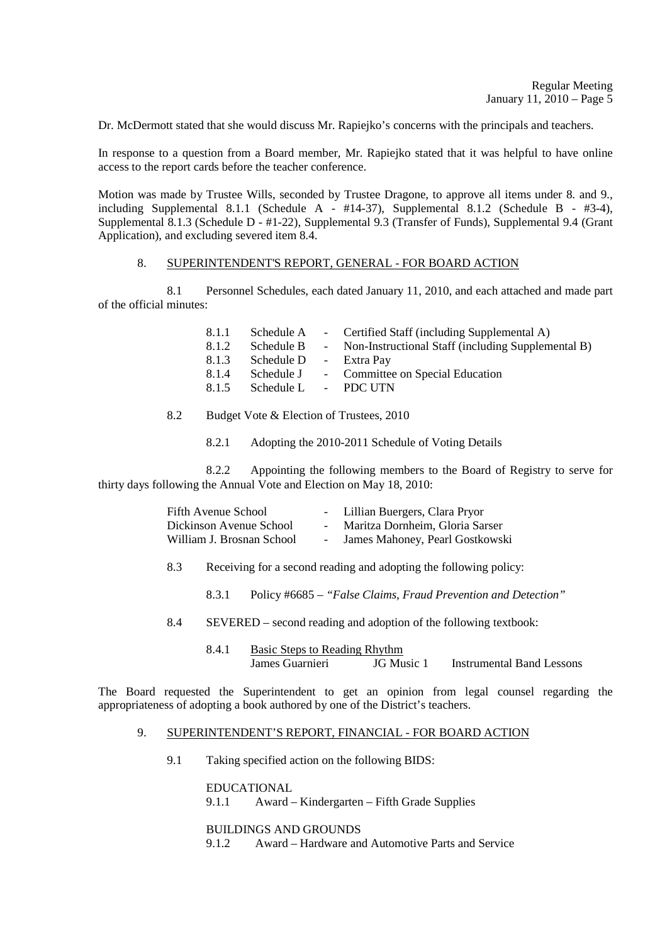Dr. McDermott stated that she would discuss Mr. Rapiejko's concerns with the principals and teachers.

In response to a question from a Board member, Mr. Rapiejko stated that it was helpful to have online access to the report cards before the teacher conference.

Motion was made by Trustee Wills, seconded by Trustee Dragone, to approve all items under 8. and 9., including Supplemental 8.1.1 (Schedule A -  $#14-37$ ), Supplemental 8.1.2 (Schedule B -  $#3-4$ ), Supplemental 8.1.3 (Schedule D - #1-22), Supplemental 9.3 (Transfer of Funds), Supplemental 9.4 (Grant Application), and excluding severed item 8.4.

# 8. SUPERINTENDENT'S REPORT, GENERAL - FOR BOARD ACTION

 8.1 Personnel Schedules, each dated January 11, 2010, and each attached and made part of the official minutes:

| 8.1.1 | Schedule A | - Certified Staff (including Supplemental A)       |
|-------|------------|----------------------------------------------------|
| 8.1.2 | Schedule B | Non-Instructional Staff (including Supplemental B) |
| 8.1.3 | Schedule D | - Extra Pay                                        |
| 8.1.4 | Schedule J | - Committee on Special Education                   |
| 8.1.5 | Schedule L | - PDC UTN                                          |

# 8.2 Budget Vote & Election of Trustees, 2010

8.2.1 Adopting the 2010-2011 Schedule of Voting Details

 8.2.2 Appointing the following members to the Board of Registry to serve for thirty days following the Annual Vote and Election on May 18, 2010:

|     | Fifth Avenue School       | - Lillian Buergers, Clara Pryor                                   |  |
|-----|---------------------------|-------------------------------------------------------------------|--|
|     | Dickinson Avenue School   | Maritza Dornheim, Gloria Sarser                                   |  |
|     | William J. Brosnan School | James Mahoney, Pearl Gostkowski                                   |  |
| 8.3 |                           | Receiving for a second reading and adopting the following policy: |  |

- 8.3.1 Policy #6685 *"False Claims, Fraud Prevention and Detection"*
- 8.4 SEVERED second reading and adoption of the following textbook:
	- 8.4.1 Basic Steps to Reading Rhythm James Guarnieri JG Music 1 Instrumental Band Lessons

The Board requested the Superintendent to get an opinion from legal counsel regarding the appropriateness of adopting a book authored by one of the District's teachers.

#### 9. SUPERINTENDENT'S REPORT, FINANCIAL - FOR BOARD ACTION

9.1 Taking specified action on the following BIDS:

 EDUCATIONAL 9.1.1 Award – Kindergarten – Fifth Grade Supplies

BUILDINGS AND GROUNDS

9.1.2 Award – Hardware and Automotive Parts and Service